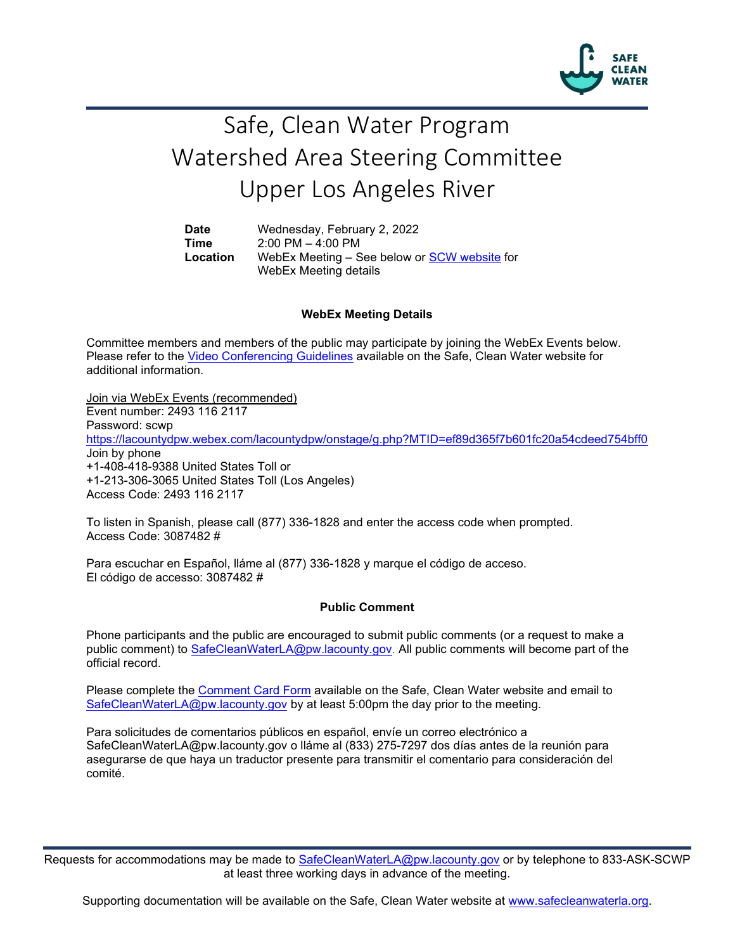

# Safe, Clean Water Program Watershed Area Steering Committee Upper Los Angeles River

**Date** Wednesday, February 2, 2022 **Time** 2:00 PM – 4:00 PM<br>**Location** WebEx Meeting – S WebEx Meeting – See below or [SCW website](https://safecleanwaterla.org/upper-los-angeles-river-watershed-area/) for WebEx Meeting details

### **WebEx Meeting Details**

Committee members and members of the public may participate by joining the WebEx Events below. Please refer to the [Video Conferencing Guidelines](https://safecleanwaterla.org/video-conference-guidelines/) available on the Safe, Clean Water website for additional information.

Join via WebEx Events (recommended) Event number: 2493 116 2117 Password: scwp <https://lacountydpw.webex.com/lacountydpw/onstage/g.php?MTID=ef89d365f7b601fc20a54cdeed754bff0> Join by phone +1-408-418-9388 United States Toll or +1-213-306-3065 United States Toll (Los Angeles) Access Code: 2493 116 2117

To listen in Spanish, please call (877) 336-1828 and enter the access code when prompted. Access Code: 3087482 #

Para escuchar en Español, lláme al (877) 336-1828 y marque el código de acceso. El código de accesso: 3087482 #

#### **Public Comment**

Phone participants and the public are encouraged to submit public comments (or a request to make a public comment) to [SafeCleanWaterLA@pw.lacounty.gov.](mailto:SafeCleanWaterLA@pw.lacounty.gov) All public comments will become part of the official record.

Please complete the Comment [Card Form](https://safecleanwaterla.org/video-conference-guidelines/) available on the Safe, Clean Water website and email to [SafeCleanWaterLA@pw.lacounty.gov](mailto:SafeCleanWaterLA@pw.lacounty.gov) by at least 5:00pm the day prior to the meeting.

Para solicitudes de comentarios públicos en español, envíe un correo electrónico a SafeCleanWaterLA@pw.lacounty.gov o lláme al (833) 275-7297 dos días antes de la reunión para asegurarse de que haya un traductor presente para transmitir el comentario para consideración del comité.

Requests for accommodations may be made to [SafeCleanWaterLA@pw.lacounty.gov](mailto:SafeCleanWaterLA@pw.lacounty.gov) or by telephone to 833-ASK-SCWP at least three working days in advance of the meeting.